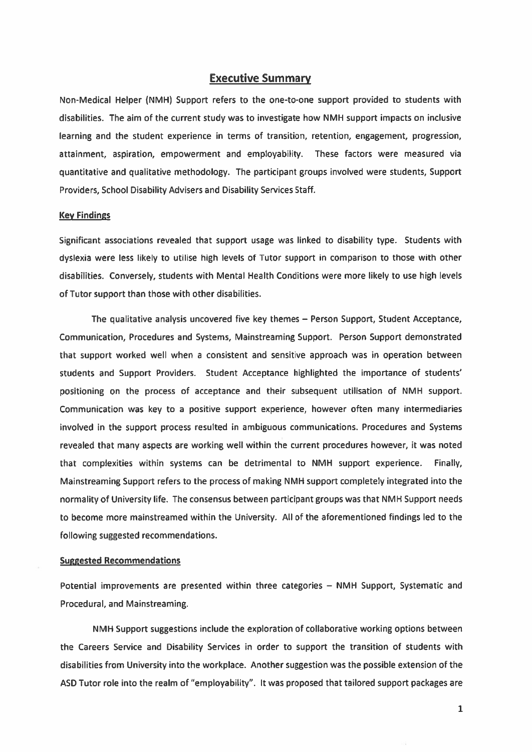# Executive Summary

Non-Medical Helper (NMH) Support refers to the one-to-one suppor<sup>t</sup> provided to students with disabilities. The aim of the current study was to investigate how NMH suppor<sup>t</sup> impacts on inclusive learning and the student experience in terms of transition, retention, engagement, progression, attainment, aspiration, empowermen<sup>t</sup> and employability. These factors were measured via quantitative and qualitative methodology. The participant groups involved were students, Support Providers, School Disability Advisers and Disability Services Staff.

#### Key Findings

Significant associations revealed that suppor<sup>t</sup> usage was linked to disability type. Students with dyslexia were less likely to utilise high levels of Tutor suppor<sup>t</sup> in comparison to those with other disabilities. Conversely, students with Mental Health Conditions were more likely to use high levels of Tutor suppor<sup>t</sup> than those with other disabilities.

The qualitative analysis uncovered five key themes — Person Support, Student Acceptance, Communication, Procedures and Systems, Mainstreaming Support. Person Support demonstrated that suppor<sup>t</sup> worked well when <sup>a</sup> consistent and sensitive approach was in operation between students and Support Providers. Student Acceptance highlighted the importance of students' positioning on the process of acceptance and their subsequent utilisation of NMH support. Communication was key to <sup>a</sup> positive suppor<sup>t</sup> experience, however often many intermediaries involved in the suppor<sup>t</sup> process resulted in ambiguous communications. Procedures and Systems revealed that many aspects are working well within the current procedures however, it was noted that complexities within systems can be detrimental to NMH suppor<sup>t</sup> experience. Finally, Mainstreaming Support refers to the process of making NMH suppor<sup>t</sup> completely integrated into the normality of University life. The consensus between participant groups was that NMH Support needs to become more mainstreamed within the University. All of the aforementioned findings led to the following suggested recommendations.

## Suggested Recommendations

Potential improvements are presented within three categories — NMH Support, Systematic and Procedural, and Mainstreaming.

NMH Support suggestions include the exploration of collaborative working options between the Careers Service and Disability Services in order to suppor<sup>t</sup> the transition of students with disabilities from University into the workplace. Another suggestion was the possible extension of the ASD Tutor role into the realm of "employability". It was proposed that tailored suppor<sup>t</sup> packages are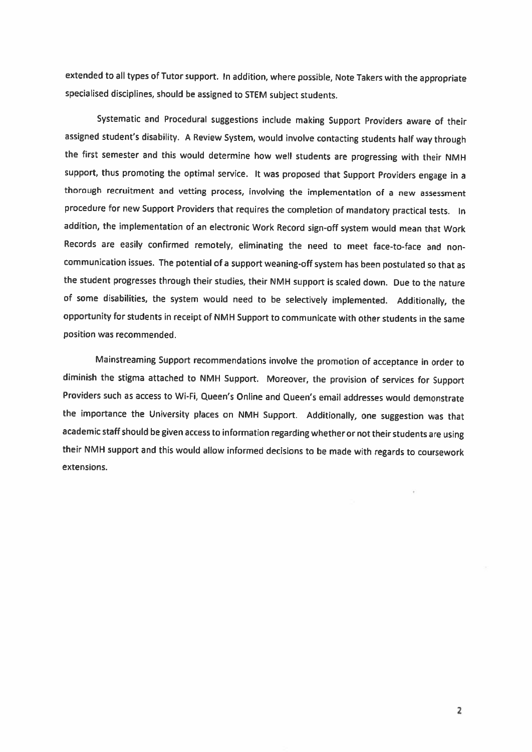extended to all types of Tutor support. In addition, where possible, Note Takers with the appropriate specialised disciplines, should be assigned to STEM subject students.

Systematic and Procedural suggestions include making Support Providers aware of their assigned student's disability. <sup>A</sup> Review System, would involve contacting students half way through the first semester and this would determine how well students are progressing with their NMH support, thus promoting the optimal service. It was proposed that Support Providers engage in <sup>a</sup> thorough recruitment and vetting process, involving the implementation of <sup>a</sup> new assessment procedure for new Support Providers that requires the completion of mandatory practical tests. In addition, the implementation of an electronic Work Record sign-off system would mean that Work Records are easily confirmed remotely, eliminating the need to meet face-to-face and noncommunication issues. The potential of <sup>a</sup> support weaning-off system has been postulated so that as the student progresses through their studies, their NMH support is scaled down. Due to the nature of some disabilities, the system would need to be selectively implemented. Additionally, the opportunity for students in receipt of NMH Support to communicate with other students in the same position was recommended.

Mainstreaming Support recommendations involve the promotion of acceptance in order to diminish the stigma attached to NMH Support. Moreover, the provision of services for Support Providers such as access to Wi-Fi, Queen's Online and Queen's email addresses would demonstrate the importance the University <sup>p</sup>laces on NMH Support. Additionally, one suggestion was that academic staff should be given access to information regarding whether or not their students are using their NMH support and this would allow informed decisions to be made with regards to coursework extensions.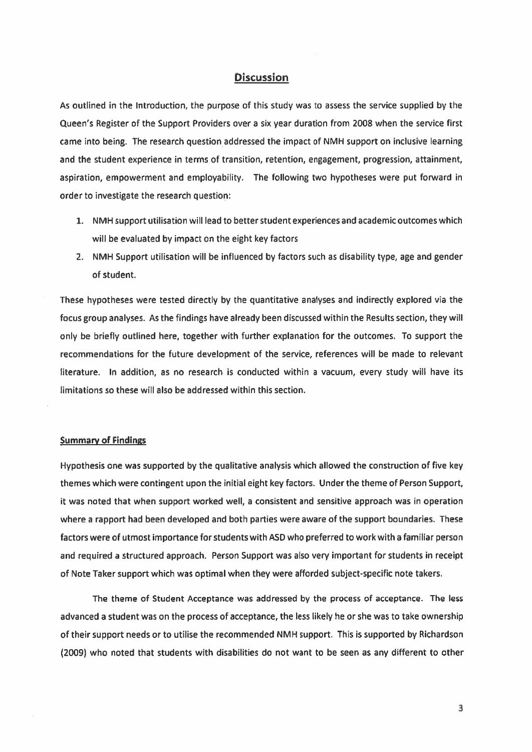# **Discussion**

As outlined in the Introduction, the purpose of this study was to assess the service supplied by the Queen's Register of the Support Providers over <sup>a</sup> six year duration from 2008 when the service first came into being. The research question addressed the impact of NMH suppor<sup>t</sup> on inclusive learning and the student experience in terms of transition, retention, engagement, progression, attainment, aspiration, empowermen<sup>t</sup> and employability. The following two hypotheses were pu<sup>t</sup> forward in order to investigate the research question:

- 1. NMH suppor<sup>t</sup> utilisation will lead to better student experiences and academic outcomes which will be evaluated by impact on the eight key factors
- 2. NMH Support utilisation will be influenced by factors such as disability type, age and gender of student.

These hypotheses were tested directly by the quantitative analyses and indirectly explored via the focus group analyses. As the findings have already been discussed within the Results section, they will only be briefly outlined here, together with further explanation for the outcomes. To suppor<sup>t</sup> the recommendations for the future development of the service, references will be made to relevant literature. In addition, as no research is conducted within <sup>a</sup> vacuum, every study will have its limitations so these will also be addressed within this section.

# Summary of Findings

Hypothesis one was supported by the qualitative analysis which allowed the construction of five key themes which were contingent upon the initial eight key factors. Under the theme of Person Support, it was noted that when suppor<sup>t</sup> worked well, <sup>a</sup> consistent and sensitive approach was in operation where <sup>a</sup> rappor<sup>t</sup> had been developed and both parties were aware of the suppor<sup>t</sup> boundaries. These factors were of utmost importance for students with ASD who preferred to work with <sup>a</sup> familiar person and required <sup>a</sup> structured approach. Person Support was also very important for students in receipt of Note Taker suppor<sup>t</sup> which was optimal when they were afforded subject-specific note takers.

The theme of Student Acceptance was addressed by the process of acceptance. The less advanced <sup>a</sup> student was on the process of acceptance, the less likely he or she was to take ownership of their suppor<sup>t</sup> needs or to utilise the recommended NMH support. This is supported by Richardson (2009) who noted that students with disabilities do not want to be seen as any different to other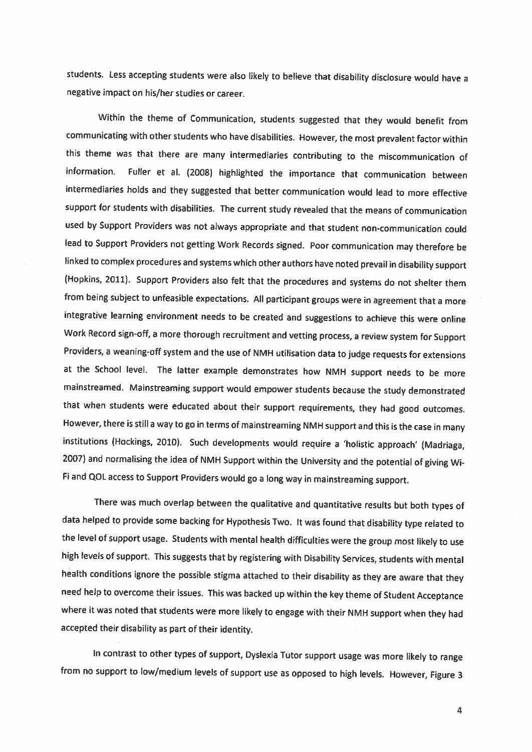students. Less accepting students were also likely to believe that disability disclosure would have <sup>a</sup> negative impact on his/her studies or career.

Within the theme of Communication, students suggested that they would benefit from communicating with other students who have disabilities. However, the most prevalent factor within this theme was that there are many intermediaries contributing to the miscommunication of information. Fuller et al. (2008) highlighted the importance that communication between intermediaries holds and they suggested that better communication would lead to more effective support for students with disabilities. The current study revealed that the means of communication used by Support Providers was not always appropriate and that student non-communication could lead to Support Providers not getting Work Records signed. Poor communication may therefore be linked to complex procedures and systems which other authors have noted prevail in disability support (Hopkins, 2011). Support Providers also felt that the procedures and systems do not shelter them from being subject to unfeasible expectations. All participant groups were in agreement that <sup>a</sup> more integrative learning environment needs to be created and suggestions to achieve this were online Work Record sign-off, <sup>a</sup> more thorough recruitment and vetting process, <sup>a</sup> review system for Support Providers, <sup>a</sup> weaning-off system and the use of NMH utilisation data to judge requests for extensions at the School level. The latter example demonstrates how NMH support needs to be more mainstreamed. Mainstreaming support would empower students because the study demonstrated that when students were educated about their support requirements, they had good outcomes. However, there is still <sup>a</sup> way to go in terms of mainstreaming NMH support and this is the case in many institutions (Hockings, 2010). Such developments would require <sup>a</sup> 'holistic approach' (Madriaga, 2007) and normalising the idea of NMH Support within the University and the potential of <sup>g</sup>iving Wi Fi and QOL access to Support Providers would go a long way in mainstreaming support.

There was much overlap between the qualitative and quantitative results but both types of data helped to provide some backing for Hypothesis Two. It was found that disability type related to the level of support usage. Students with mental health difficulties were the group most likely to use high levels of support. This suggests that by registering with Disability Services, students with mental health conditions ignore the possible stigma attached to their disability as they are aware that they need help to overcome their issues. This was backed up within the key theme of Student Acceptance where it was noted that students were more likely to engage with their NMH support when they had accepted their disability as part of their identity.

In contrast to other types of support, Dyslexia Tutor support usage was more likely to range from no support to low/medium levels of support use as opposed to high levels. However, Figure <sup>3</sup>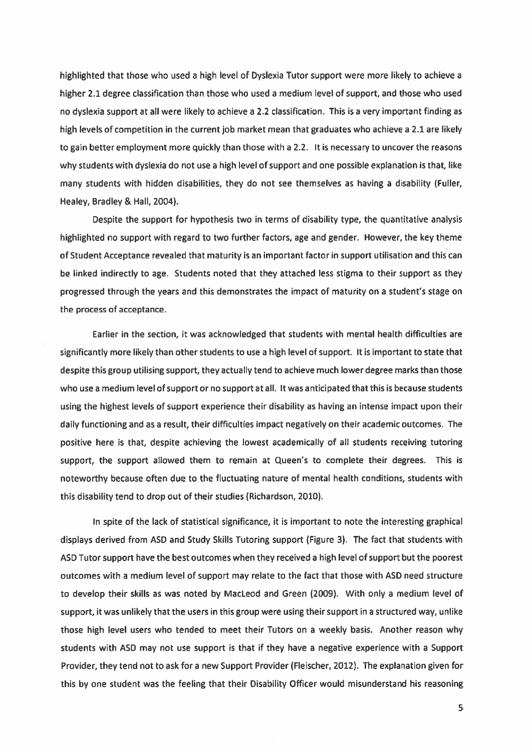highlighted that those who used <sup>a</sup> high level of Dyslexia Tutor suppor<sup>t</sup> were more likely to achieve <sup>a</sup> higher 2.1 degree classification than those who used <sup>a</sup> medium level of support, and those who used no dyslexia suppor<sup>t</sup> at all were likely to achieve <sup>a</sup> 2.2 classification. This is <sup>a</sup> very important finding as high levels of competition in the current job market mean that graduates who achieve <sup>a</sup> 2.1 are likely to gain better employment more quickly than those with <sup>a</sup> 2.2. It is necessary to uncover the reasons why students with dyslexia do not use <sup>a</sup> high level of suppor<sup>t</sup> and one possible explanation is that, like many students with hidden disabilities, they do not see themselves as having <sup>a</sup> disability (Fuller, Healey, Bradley & Hall, 2004).

Despite the suppor<sup>t</sup> for hypothesis two in terms of disability type, the quantitative analysis highlighted no suppor<sup>t</sup> with regard to two further factors, age and gender. However, the key theme of Student Acceptance revealed that maturity is an important factor in suppor<sup>t</sup> utilisation and this can be linked indirectly to age. Students noted that they attached less stigma to their suppor<sup>t</sup> as they progressed through the years and this demonstrates the impact of maturity on <sup>a</sup> student's stage on the process of acceptance.

Earlier in the section, it was acknowledged that students with mental health difficulties are significantly more likely than other students to use <sup>a</sup> high level of support. It is important to state that despite this group utilising support, they actually tend to achieve much lower degree marks than those who use <sup>a</sup> medium level of suppor<sup>t</sup> or no suppor<sup>t</sup> at all. It was anticipated that this is because students using the highest levels of suppor<sup>t</sup> experience their disability as having an intense impact upon their daily functioning and as <sup>a</sup> result, their difficulties impact negatively on their academic outcomes. The positive here is that, despite achieving the lowest academically of all students receiving tutoring support, the suppor<sup>t</sup> allowed them to remain at Queen's to complete their degrees. This is noteworthy because often due to the fluctuating nature of mental health conditions, students with this disability tend to drop out of their studies (Richardson, 2010).

In spite of the lack of statistical significance, it is important to note the interesting graphical displays derived from ASD and Study Skills Tutoring suppor<sup>t</sup> (Figure 3). The fact that students with ASD Tutor suppor<sup>t</sup> have the best outcomes when they received <sup>a</sup> high level of suppor<sup>t</sup> but the poores<sup>t</sup> outcomes with <sup>a</sup> medium level of suppor<sup>t</sup> may relate to the fact that those with ASD need structure to develop their skills as was noted by MacLeod and Green (2009). With only <sup>a</sup> medium level of support, it was unlikely that the users in this group were using their suppor<sup>t</sup> in <sup>a</sup> structured way, unlike those high level users who tended to meet their Tutors on <sup>a</sup> weekly basis. Another reason why students with ASD may not use suppor<sup>t</sup> is that if they have <sup>a</sup> negative experience with <sup>a</sup> Support Provider, they tend not to ask for <sup>a</sup> new Support Provider (Fleischer, 2012). The explanation given for this by one student was the feeling that their Disability Officer would misunderstand his reasoning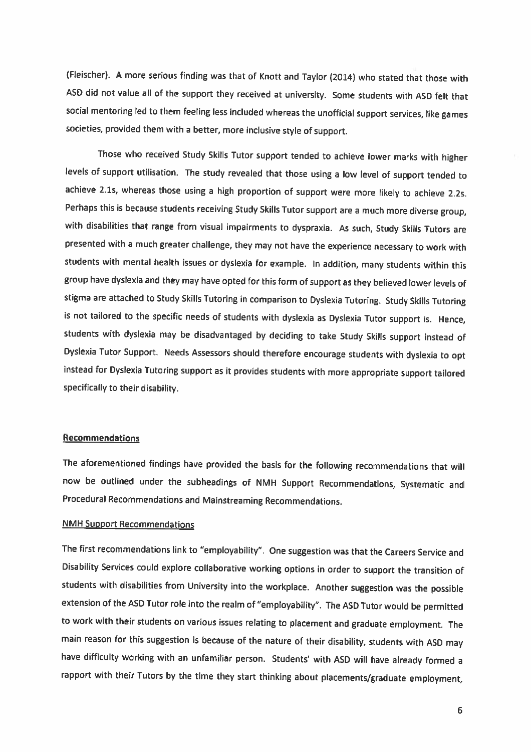(Fleischer). <sup>A</sup> more 5erious finding was that of Knott and Taylor (2014) who stated that those with ASD did not value all of the support they received at university. Some students with ASD felt that social mentoring led to them feeling less included whereas the unofficial support services, like games societies, provided them with <sup>a</sup> better, more inclusive style of support.

Those who received Study Skills Tutor support tended to achieve lower marks with higher levels of support utilisation. The study revealed that those using <sup>a</sup> low level of support tended to achieve 2.ls, whereas those using <sup>a</sup> high proportion of support were more likely to achieve 2.2s. Perhaps this is because students receiving Study Skills Tutor support are <sup>a</sup> much more diverse group, with disabilities that range from visual impairments to dyspraxia. As such, Study Skills Tutors are presented with <sup>a</sup> much greater challenge, they may not have the experience necessary to work with students with mental health issues or dyslexia for example. In addition, many students within this group have dyslexia and they may have opted for this form of support as they believed lower levels of stigma are attached to Study Skills Tutoring in comparison to Dyslexia Tutoring. Study Skills Tutoring is not tailored to the specific needs of students with dyslexia as Dyslexia Tutor support is. Hence, students with dyslexia may be disadvantaged by deciding to take Study Skills support instead of Dyslexia Tutor Support. Needs Assessors should therefore encourage students with dyslexia to opt instead for Dyslexia Tutoring support as it provides students with more appropriate support tailored specifically to their disability.

## Recommendations

The aforementioned findings have provided the basis for the following recommendations that will now be outlined under the subheadings of NMH Support Recommendations, Systematic and Procedural Recommendations and Mainstreaming Recommendations.

## NMH Support Recommendations

The first recommendations link to "employability". One suggestion was that the Careers Service and Disability Services could explore collaborative working options in order to support the transition of students with disabilities from University into the workplace. Another suggestion was the possible extension of the ASD Tutor role into the realm of "employability". The ASD Tutor would be permitted to work with their students on various issues relating to <sup>p</sup>lacement and graduate employment. The main reason for this suggestion is because of the nature of their disability, students with ASD may have difficulty working with an unfamiliar person. Students' with ASD will have already formed <sup>a</sup> rapport with their Tutors by the time they start thinking about <sup>p</sup>lacements/graduate employment,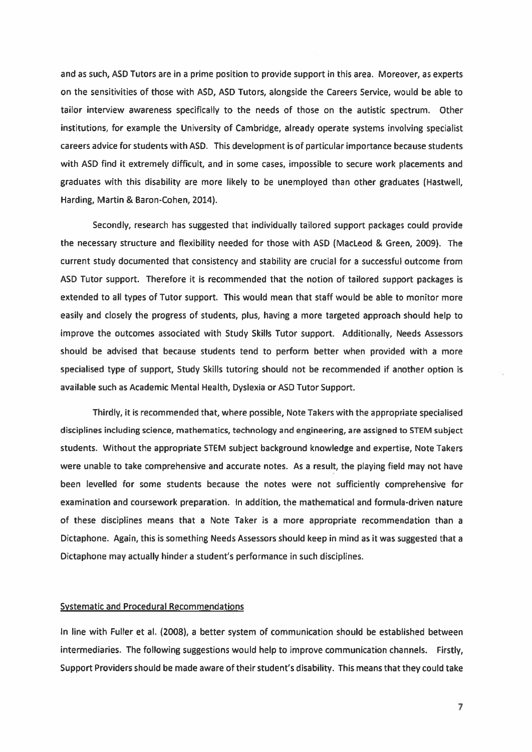and as such, ASD Tutors are in <sup>a</sup> prime position to provide suppor<sup>t</sup> in this area. Moreover, as experts on the sensitivities of those with ASD, ASD Tutors, alongside the Careers Service, would be able to tailor interview awareness specifically to the needs of those on the autistic spectrum. Other institutions, for example the University of Cambridge, already operate systems involving specialist careers advice for students with ASD. This development is of particular importance because students with ASD find it extremely difficult, and in some cases, impossible to secure work placements and graduates with this disability are more likely to be unemployed than other graduates (Hastwell, Harding, Martin & Baron-Cohen, 2014).

Secondly, research has suggested that individually tailored suppor<sup>t</sup> packages could provide the necessary structure and flexibility needed for those with ASD (MacLeod & Green, 2009). The current study documented that consistency and stability are crucial for <sup>a</sup> successful outcome from ASD Tutor support. Therefore it is recommended that the notion of tailored suppor<sup>t</sup> packages is extended to all types of Tutor support. This would mean that staff would be able to monitor more easily and closely the progress of students, plus, having <sup>a</sup> more targeted approach should help to improve the outcomes associated with Study Skills Tutor support. Additionally, Needs Assessors should be advised that because students tend to perform better when provided with <sup>a</sup> more specialised type of support, Study Skills tutoring should not be recommended if another option is available such as Academic Mental Health, Dyslexia or ASD Tutor Support.

Thirdly, it is recommended that, where possible, Note Takers with the appropriate specialised disciplines including science, mathematics, technology and engineering, are assigned to STEM subject students. Without the appropriate STEM subject background knowledge and expertise, Note Takers were unable to take comprehensive and accurate notes. As <sup>a</sup> result, the playing field may not have been levelled for some students because the notes were not sufficiently comprehensive for examination and coursework preparation. In addition, the mathematical and formula-driven nature of these disciplines means that <sup>a</sup> Note Taker is <sup>a</sup> more appropriate recommendation than <sup>a</sup> Dictaphone. Again, this is something Needs Assessors should keep in mind as it was suggested that <sup>a</sup> Dictaphone may actually hinder <sup>a</sup> student's performance in such disciplines.

#### Systematic and Procedural Recommendations

In line with Fuller et al. (2008), <sup>a</sup> better system of communication should be established between intermediaries. The following suggestions would help to improve communication channels. Firstly, Support Providers should be made aware of their student's disability. This means that they could take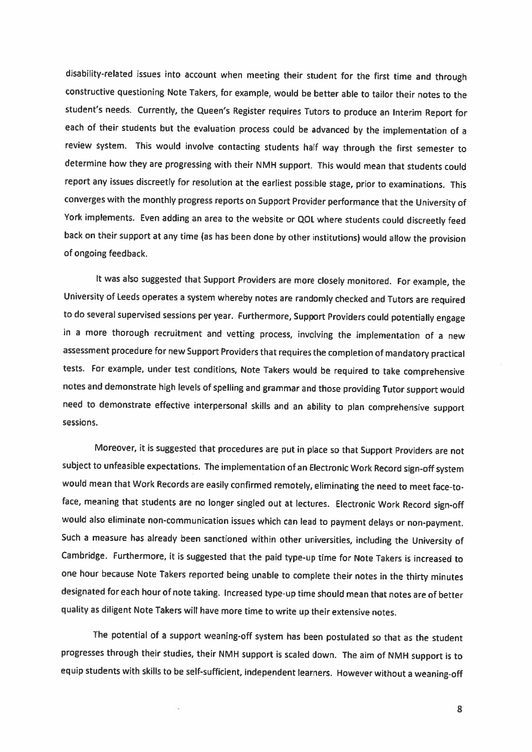disability-related issues into account when meeting their student for the first time and through constructive questioning Note Takers, for example, would be better able to tailor their notes to the student's needs. Currently, the Queen's Register requires Tutors to produce an Interim Report for each of their students but the evaluation process could be advanced by the implementation of <sup>a</sup> review system. This would involve contacting students half way through the first semester to determine how they are progressing with their NMH support. This would mean that students could report any issues discreetly for resolution at the earliest possible stage, prior to examinations. This converges with the monthly progress reports on Support Provider performance that the University of York implements. Even adding an area to the website or QOL where students could discreetly feed back on their support at any time (as has been done by other institutions) would allow the provision of ongoing feedback.

it was also suggested that Support Providers are more closely monitored. For example, the University of Leeds operates <sup>a</sup> system whereby notes are randomly checked and Tutors are required to do several supervised sessions per year. Furthermore, Support Providers could potentially engage in <sup>a</sup> more thorough recruitment and vetting process, involving the implementation of <sup>a</sup> new assessment procedure for new Support Providers that requires the completion of mandatory practical tests. For example, under test conditions, Note Takers would be required to take comprehensive notes and demonstrate high levels of spelling and grammar and those providing Tutor support would need to demonstrate effective interpersonal skills and an ability to <sup>p</sup>lan comprehensive support sessions.

Moreover, ft is suggested that procedures are put in <sup>p</sup>lace so that Support Providers are not subject to unfeasible expectations. The implementation of an Electronic Work Record sign-off system would mean that Work Records are easily confirmed remotely, eliminating the need to meet face-toface, meaning that students are no longer singled out at lectures. Electronic Work Record sign-off would also eliminate non-communication issues which can lead to payment delays or non-payment. Such <sup>a</sup> measure has already been sanctioned within other universities, including the University of Cambridge. Furthermore, it is suggested that the paid type-up time for Note Takers is increased to one hour because Note Takers reported being unable to complete their notes in the thirty minutes designated for each hour of note taking. Increased type-up time should mean that notes are of better quality as diligent Note Takers will have more time to write up their extensive notes.

The potential of <sup>a</sup> support weaning-off system has been postulated so that as the student progresses through their studies, their NMH support is scaled down. The aim of NMH support is to equip students with skills to be self-sufficient, independent learners. However without <sup>a</sup> weaning-off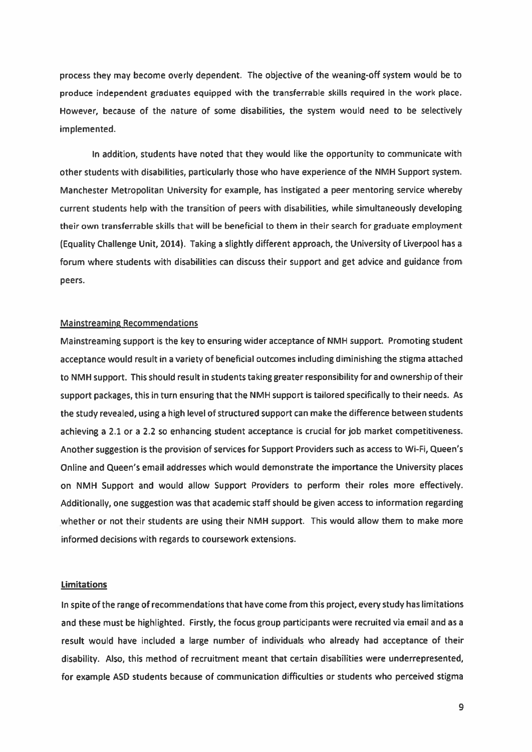process they may become overly dependent. The objective of the weaning-off system would be to produce independent graduates equipped with the transferrable skills required in the work place. However, because of the nature of some disabilities, the system would need to be selectively implemented.

In addition, students have noted that they would like the opportunity to communicate with other students with disabilities, particularly those who have experience of the NMH Support system. Manchester Metropolitan University for example, has instigated <sup>a</sup> peer mentoring service whereby current students help with the transition of peers with disabilities, while simultaneously developing their own transferrable skills that will be beneficial to them in their search for graduate employment (Equality Challenge Unit, 2014). Taking <sup>a</sup> slightly different approach, the University of Liverpool has <sup>a</sup> forum where students with disabilities can discuss their suppor<sup>t</sup> and ge<sup>t</sup> advice and guidance from peers.

#### Mainstreaming Recommendations

Mainstreaming suppor<sup>t</sup> is the key to ensuring wider acceptance of NMH support. Promoting student acceptance would result in <sup>a</sup> variety of beneficial outcomes including diminishing the stigma attached to NMH support. This should result in students taking greater responsibility for and ownership of their suppor<sup>t</sup> packages, this in turn ensuring that the NMH suppor<sup>t</sup> is tailored specifically to their needs. As the study revealed, using <sup>a</sup> high level of structured suppor<sup>t</sup> can make the difference between students achieving <sup>a</sup> 2.1 or <sup>a</sup> 2.2 so enhancing student acceptance is crucial for job market competitiveness. Another suggestion is the provision of services for Support Providers such as access to Wi-Fi, Queen's Online and Queen's email addresses which would demonstrate the importance the University places on NMH Support and would allow Support Providers to perform their roles more effectively. Additionally, one suggestion was that academic staff should be <sup>g</sup>iven access to information regarding whether or not their students are using their NMH support. This would allow them to make more informed decisions with regards to coursework extensions.

## **Limitations**

In spite of the range of recommendations that have come from this project, every study has limitations and these must be highlighted. Firstly, the focus group participants were recruited via email and as <sup>a</sup> result would have included <sup>a</sup> large number of individuals who already had acceptance of their disability. Also, this method of recruitment meant that certain disabilities were underrepresented, for example ASD students because of communication difficulties or students who perceived stigma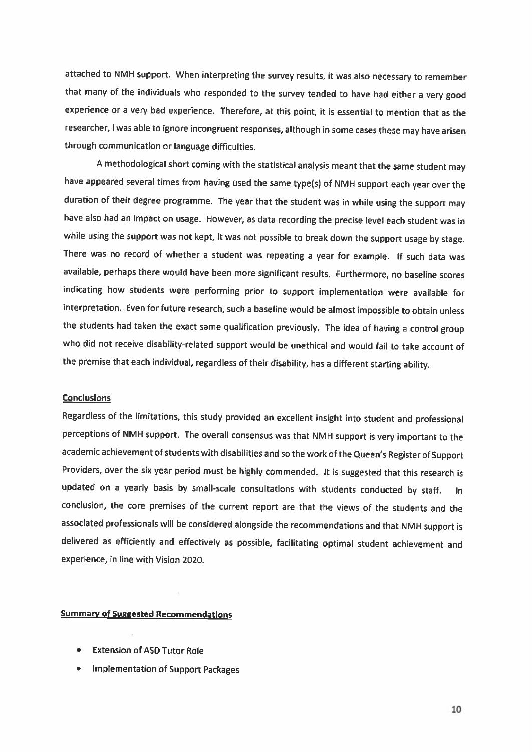attached to NMH 5uppart. When interpreting the survey results, it was also necessary to remember that many of the individuals who responded to the survey tended to have had either <sup>a</sup> very good experience or a very bad experience. Therefore, at this point, it is essential to mention that as the researcher, <sup>I</sup> was able to ignore incongruent responses, although in some cases these may have arisen through communication or language difficulties.

<sup>A</sup> methodological short coming with the statistical analysis meant that the same student may have appeared several times from having used the same type(s) of NMH support each year over the duration of their degree programme. The year that the student was in while using the support may have also had an impact on usage. However, as data recording the precise level each student was in while using the support was not kept, it was not possible to break down the support usage by stage. There was no record of whether <sup>a</sup> student was repeating <sup>a</sup> year for example. If such data was available, perhaps there would have been more significant results. Furthermore, no baseline scores indicating how students were performing prior to support implementation were available for interpretation. Even for future research, such <sup>a</sup> baseline would be almost impossible to obtain unless the students had taken the exact same qualification previously. The idea of having <sup>a</sup> control group who did not receive disability-related support would be unethical and would fail to take account of the premise that each individual, regardless of their disability, has <sup>a</sup> different starting ability.

# **Conclusions**

Regardless of the limitations, this study provided an excellent insight into student and professional perceptions of NMH support. The overall consensus was that NMH support is very important to the academic achievement of students with disabilities and so the work of the Queen's Register of Support Providers, over the six year period must be highly commended. It is suggested that this research is updated on <sup>a</sup> yearly basis by small-scale consultations with students conducted by staff. In conclusion, the core premises of the current report are that the views of the students and the associated professionals will be considered alongside the recommendations and that NMH support is delivered as efficiently and effectively as possible, facilitating optimal student achievement and experience, in line with Vision 2020.

# Summary of Suggested Recommendations

- •Extension of ASD Tutor Role
- •Implementation of Support Packages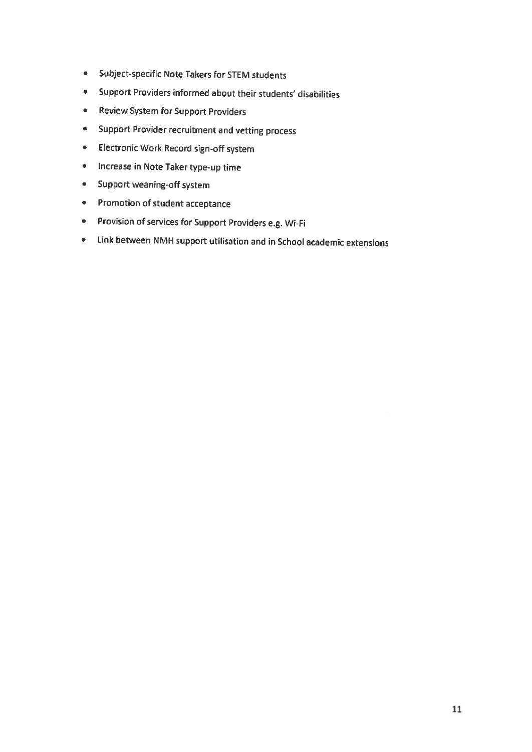- •Subject-5pecific Note Takers for STEM students
- Support Providers informed about their students' disabilities
- •Review System for Support Providers
- •Support Provider recruitment and vetting process
- •Electronic Work Record sign-off system
- •Increase in Note Taker type-up time
- •Support weaning-off system
- Promotion of student acceptance
- Provision of services for Support Providers e.g. Wi-Fi
- Link between NMH support utilisation and in School academic extensions